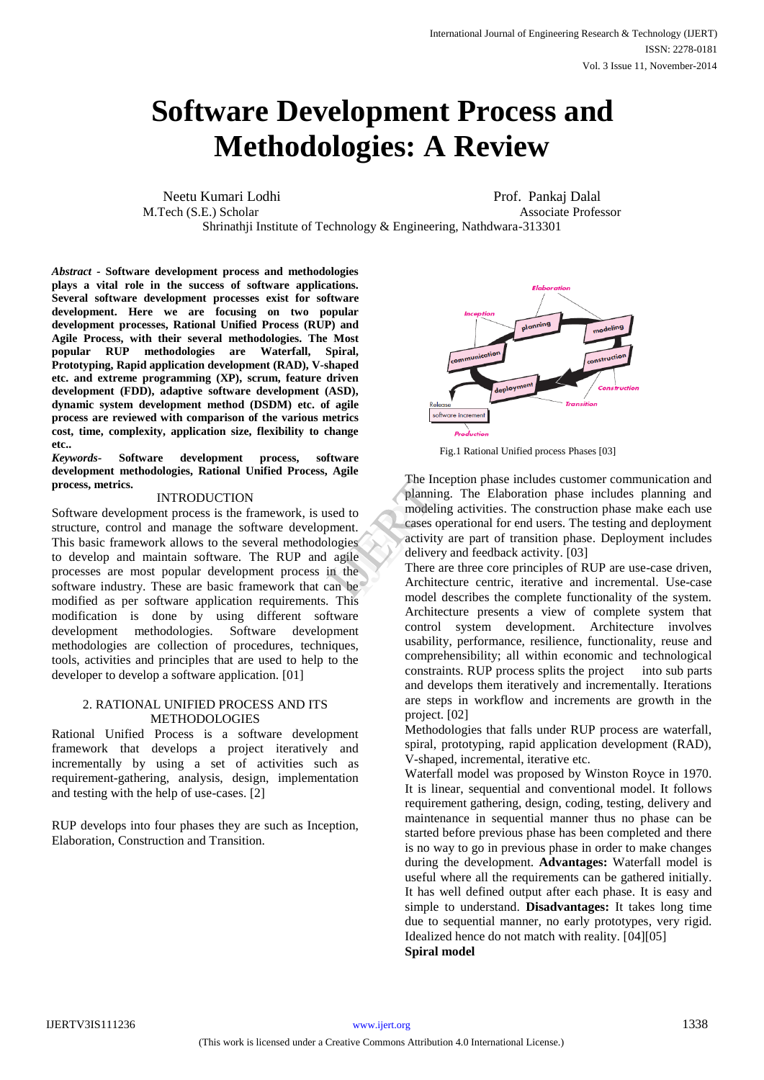# **Methodologies: A Review Software Development Process and**

Neetu Kumari Lodhi Prof. Pankaj Dalal M.Tech (S.E.) Scholar **Associate Professor** Associate Professor Shrinathji Institute of Technology & Engineering, Nathdwara-313301

*Abstract -* **Software development process and methodologies plays a vital role in the success of software applications. Several software development processes exist for software development. Here we are focusing on two popular development processes, Rational Unified Process (RUP) and Agile Process, with their several methodologies. The Most popular RUP methodologies are Waterfall, Spiral, Prototyping, Rapid application development (RAD), V-shaped etc. and extreme programming (XP), scrum, feature driven development (FDD), adaptive software development (ASD), dynamic system development method (DSDM) etc. of agile process are reviewed with comparison of the various metrics cost, time, complexity, application size, flexibility to change etc..**

*Keywords-* **Software development process, software development methodologies, Rational Unified Process, Agile process, metrics.**

# INTRODUCTION

Software development process is the framework, is used to structure, control and manage the software development. This basic framework allows to the several methodologies to develop and maintain software. The RUP and agile processes are most popular development process in the software industry. These are basic framework that can be modified as per software application requirements. This modification is done by using different software development methodologies. Software development methodologies are collection of procedures, techniques, tools, activities and principles that are used to help to the developer to develop a software application. [01]

## 2. RATIONAL UNIFIED PROCESS AND ITS METHODOLOGIES

Rational Unified Process is a software development framework that develops a project iteratively and incrementally by using a set of activities such as requirement-gathering, analysis, design, implementation and testing with the help of use-cases. [2]

RUP develops into four phases they are such as Inception, Elaboration, Construction and Transition.



Fig.1 Rational Unified process Phases [03]

The Inception phase includes customer communication and planning. The Elaboration phase includes planning and modeling activities. The construction phase make each use cases operational for end users. The testing and deployment activity are part of transition phase. Deployment includes delivery and feedback activity. [03] The Incept<br>
planning<br>
d to<br>
modeling a<br>
modeling a<br>
cases operativity are<br>
gies<br>
the<br>
n be<br>
Architecture<br>
model dog

There are three core principles of RUP are use-case driven, Architecture centric, iterative and incremental. Use-case model describes the complete functionality of the system. Architecture presents a view of complete system that control system development. Architecture involves usability, performance, resilience, functionality, reuse and comprehensibility; all within economic and technological constraints. RUP process splits the project into sub parts and develops them iteratively and incrementally. Iterations are steps in workflow and increments are growth in the project. [02]

Methodologies that falls under RUP process are waterfall, spiral, prototyping, rapid application development (RAD), V-shaped, incremental, iterative etc.

Waterfall model was proposed by Winston Royce in 1970. It is linear, sequential and conventional model. It follows requirement gathering, design, coding, testing, delivery and maintenance in sequential manner thus no phase can be started before previous phase has been completed and there is no way to go in previous phase in order to make changes during the development. **Advantages:** Waterfall model is useful where all the requirements can be gathered initially. It has well defined output after each phase. It is easy and simple to understand. **Disadvantages:** It takes long time due to sequential manner, no early prototypes, very rigid. Idealized hence do not match with reality. [04][05] **Spiral model**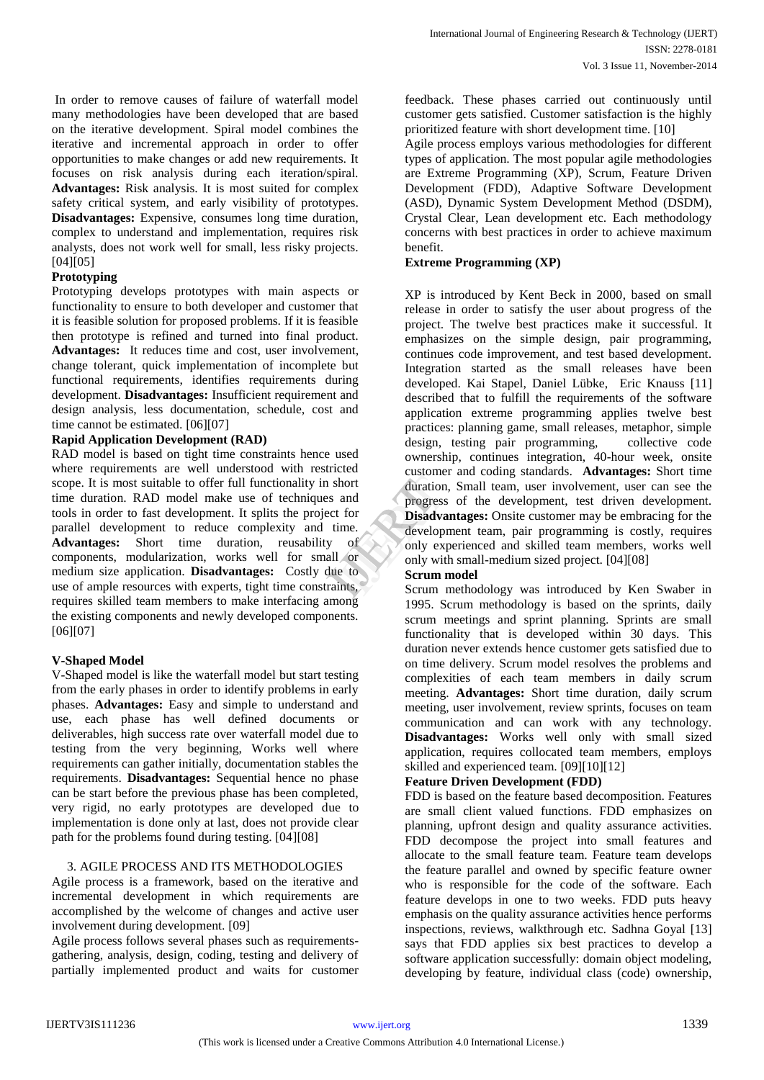In order to remove causes of failure of waterfall model many methodologies have been developed that are based on the iterative development. Spiral model combines the iterative and incremental approach in order to offer opportunities to make changes or add new requirements. It focuses on risk analysis during each iteration/spiral. **Advantages:** Risk analysis. It is most suited for complex safety critical system, and early visibility of prototypes. **Disadvantages:** Expensive, consumes long time duration, complex to understand and implementation, requires risk analysts, does not work well for small, less risky projects. [04][05]

## **Prototyping**

Prototyping develops prototypes with main aspects or functionality to ensure to both developer and customer that it is feasible solution for proposed problems. If it is feasible then prototype is refined and turned into final product. **Advantages:** It reduces time and cost, user involvement, change tolerant, quick implementation of incomplete but functional requirements, identifies requirements during development. **Disadvantages:** Insufficient requirement and design analysis, less documentation, schedule, cost and time cannot be estimated. [06][07]

## **Rapid Application Development (RAD)**

RAD model is based on tight time constraints hence used where requirements are well understood with restricted scope. It is most suitable to offer full functionality in short time duration. RAD model make use of techniques and tools in order to fast development. It splits the project for parallel development to reduce complexity and time. **Advantages:** Short time duration, reusability of components, modularization, works well for small or medium size application. **Disadvantages:** Costly due to use of ample resources with experts, tight time constraints, requires skilled team members to make interfacing among the existing components and newly developed components. [06][07]

# **V-Shaped Model**

V-Shaped model is like the waterfall model but start testing from the early phases in order to identify problems in early phases. **Advantages:** Easy and simple to understand and use, each phase has well defined documents or deliverables, high success rate over waterfall model due to testing from the very beginning, Works well where requirements can gather initially, documentation stables the requirements. **Disadvantages:** Sequential hence no phase can be start before the previous phase has been completed, very rigid, no early prototypes are developed due to implementation is done only at last, does not provide clear path for the problems found during testing. [04][08]

# 3. AGILE PROCESS AND ITS METHODOLOGIES

Agile process is a framework, based on the iterative and incremental development in which requirements are accomplished by the welcome of changes and active user involvement during development. [09]

Agile process follows several phases such as requirementsgathering, analysis, design, coding, testing and delivery of partially implemented product and waits for customer feedback. These phases carried out continuously until customer gets satisfied. Customer satisfaction is the highly prioritized feature with short development time. [10]

Agile process employs various methodologies for different types of application. The most popular agile methodologies are Extreme Programming (XP), Scrum, Feature Driven Development (FDD), Adaptive Software Development (ASD), Dynamic System Development Method (DSDM), Crystal Clear, Lean development etc. Each methodology concerns with best practices in order to achieve maximum benefit.

### **Extreme Programming (XP)**

XP is introduced by Kent Beck in 2000, based on small release in order to satisfy the user about progress of the project. The twelve best practices make it successful. It emphasizes on the simple design, pair programming, continues code improvement, and test based development. Integration started as the small releases have been developed. Kai Stapel, Daniel Lübke, Eric Knauss [11] described that to fulfill the requirements of the software application extreme programming applies twelve best practices: planning game, small releases, metaphor, simple design, testing pair programming, collective code ownership, continues integration, 40-hour week, onsite customer and coding standards. **Advantages:** Short time duration, Small team, user involvement, user can see the progress of the development, test driven development. **Disadvantages:** Onsite customer may be embracing for the development team, pair programming is costly, requires only experienced and skilled team members, works well only with small-medium sized project. [04][08] and<br>
and<br>
and<br>
for<br>
the developme<br>
of<br>
of<br>
the developme<br>
of<br>
only experience<br>
of<br>
only experience<br>
of<br>
Scrum mo<br>
Scrum mo<br>
Scrum mo<br>
Scrum mo<br>
Scrum mo<br>
Scrum mo<br>
Scrum mo<br>
Scrum mo<br>
Scrum mo<br>
Scrum mo<br>
Scrum mo<br>
Scrum mo

#### **Scrum model**

Scrum methodology was introduced by Ken Swaber in 1995. Scrum methodology is based on the sprints, daily scrum meetings and sprint planning. Sprints are small functionality that is developed within 30 days. This duration never extends hence customer gets satisfied due to on time delivery. Scrum model resolves the problems and complexities of each team members in daily scrum meeting. **Advantages:** Short time duration, daily scrum meeting, user involvement, review sprints, focuses on team communication and can work with any technology. **Disadvantages:** Works well only with small sized application, requires collocated team members, employs skilled and experienced team. [09][10][12]

# **Feature Driven Development (FDD)**

FDD is based on the feature based decomposition. Features are small client valued functions. FDD emphasizes on planning, upfront design and quality assurance activities. FDD decompose the project into small features and allocate to the small feature team. Feature team develops the feature parallel and owned by specific feature owner who is responsible for the code of the software. Each feature develops in one to two weeks. FDD puts heavy emphasis on the quality assurance activities hence performs inspections, reviews, walkthrough etc. Sadhna Goyal [13] says that FDD applies six best practices to develop a software application successfully: domain object modeling, developing by feature, individual class (code) ownership,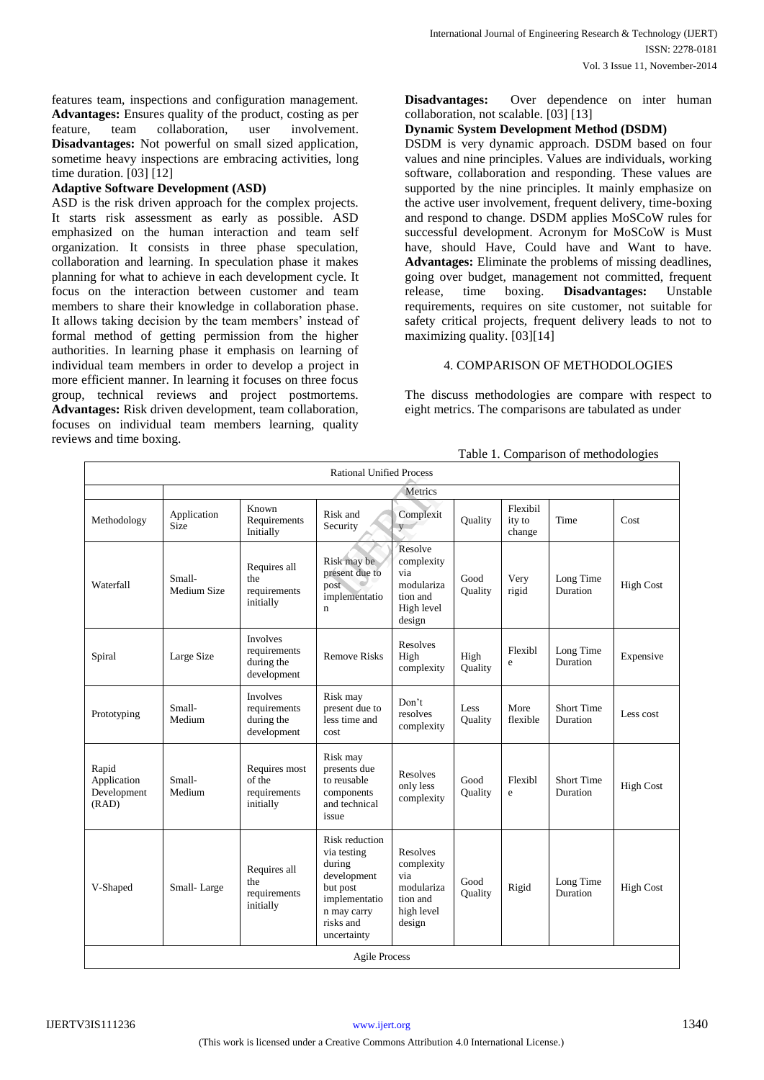features team, inspections and configuration management. **Advantages:** Ensures quality of the product, costing as per feature, team collaboration, user involvement. **Disadvantages:** Not powerful on small sized application, sometime heavy inspections are embracing activities, long time duration. [03] [12]

# **Adaptive Software Development (ASD)**

ASD is the risk driven approach for the complex projects. It starts risk assessment as early as possible. ASD emphasized on the human interaction and team self organization. It consists in three phase speculation, collaboration and learning. In speculation phase it makes planning for what to achieve in each development cycle. It focus on the interaction between customer and team members to share their knowledge in collaboration phase. It allows taking decision by the team members' instead of formal method of getting permission from the higher authorities. In learning phase it emphasis on learning of individual team members in order to develop a project in more efficient manner. In learning it focuses on three focus group, technical reviews and project postmortems. **Advantages:** Risk driven development, team collaboration, focuses on individual team members learning, quality reviews and time boxing.

**Disadvantages:** Over dependence on inter human collaboration, not scalable. [03] [13]

### **Dynamic System Development Method (DSDM)**

DSDM is very dynamic approach. DSDM based on four values and nine principles. Values are individuals, working software, collaboration and responding. These values are supported by the nine principles. It mainly emphasize on the active user involvement, frequent delivery, time-boxing and respond to change. DSDM applies MoSCoW rules for successful development. Acronym for MoSCoW is Must have, should Have, Could have and Want to have. **Advantages:** Eliminate the problems of missing deadlines, going over budget, management not committed, frequent release, time boxing. **Disadvantages:** Unstable requirements, requires on site customer, not suitable for safety critical projects, frequent delivery leads to not to maximizing quality. [03][14]

## 4. COMPARISON OF METHODOLOGIES

The discuss methodologies are compare with respect to eight metrics. The comparisons are tabulated as under

Table 1. Comparison of methodologies

| <b>Rational Unified Process</b>              |                            |                                                              |                                                                                                                                |                                                                                 |                 |                              |                                      |                  |  |  |
|----------------------------------------------|----------------------------|--------------------------------------------------------------|--------------------------------------------------------------------------------------------------------------------------------|---------------------------------------------------------------------------------|-----------------|------------------------------|--------------------------------------|------------------|--|--|
|                                              | Metrics                    |                                                              |                                                                                                                                |                                                                                 |                 |                              |                                      |                  |  |  |
| Methodology                                  | Application<br><b>Size</b> | Known<br>Requirements<br>Initially                           | Risk and<br>Security                                                                                                           | Complexit<br>V                                                                  | Ouality         | Flexibil<br>ity to<br>change | Time                                 | Cost             |  |  |
| Waterfall                                    | Small-<br>Medium Size      | Requires all<br>the<br>requirements<br>initially             | Risk may be<br>present due to<br>post<br>implementatio<br>$\mathbf n$                                                          | Resolve<br>complexity<br>via<br>modulariza<br>tion and<br>High level<br>design  | Good<br>Ouality | Very<br>rigid                | Long Time<br><b>Duration</b>         | <b>High Cost</b> |  |  |
| Spiral                                       | Large Size                 | <b>Involves</b><br>requirements<br>during the<br>development | <b>Remove Risks</b>                                                                                                            | Resolves<br>High<br>complexity                                                  | High<br>Quality | Flexibl<br>e                 | Long Time<br>Duration                | Expensive        |  |  |
| Prototyping                                  | Small-<br>Medium           | <b>Involves</b><br>requirements<br>during the<br>development | Risk may<br>present due to<br>less time and<br>cost                                                                            | Don't<br>resolves<br>complexity                                                 | Less<br>Quality | More<br>flexible             | <b>Short Time</b><br><b>Duration</b> | Less cost        |  |  |
| Rapid<br>Application<br>Development<br>(RAD) | Small-<br>Medium           | Requires most<br>of the<br>requirements<br>initially         | Risk may<br>presents due<br>to reusable<br>components<br>and technical<br>issue                                                | <b>Resolves</b><br>only less<br>complexity                                      | Good<br>Quality | Flexibl<br>e                 | <b>Short Time</b><br>Duration        | <b>High Cost</b> |  |  |
| V-Shaped                                     | Small-Large                | Requires all<br>the<br>requirements<br>initially             | Risk reduction<br>via testing<br>during<br>development<br>but post<br>implementatio<br>n may carry<br>risks and<br>uncertainty | Resolves<br>complexity<br>via<br>modulariza<br>tion and<br>high level<br>design | Good<br>Ouality | Rigid                        | Long Time<br>Duration                | <b>High Cost</b> |  |  |
| <b>Agile Process</b>                         |                            |                                                              |                                                                                                                                |                                                                                 |                 |                              |                                      |                  |  |  |